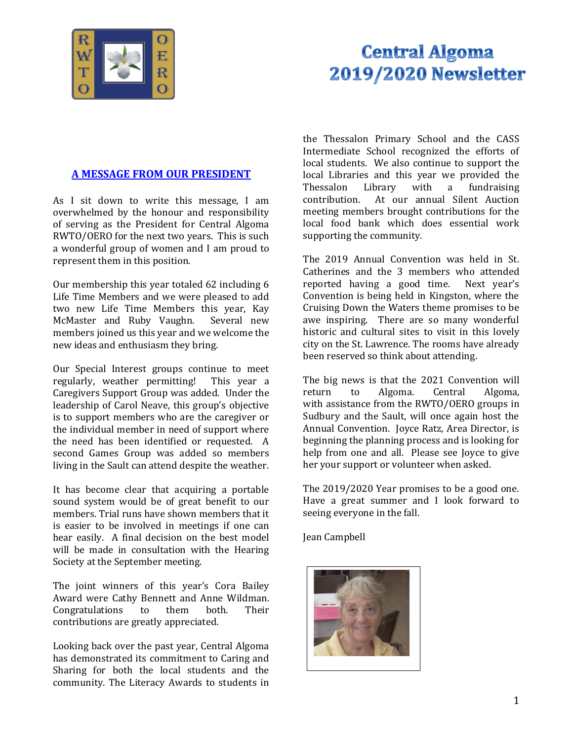

# **Central Algoma 2019/2020 Newsletter**

# **A MESSAGE FROM OUR PRESIDENT**

As I sit down to write this message, I am overwhelmed by the honour and responsibility of serving as the President for Central Algoma RWTO/OERO for the next two years. This is such a wonderful group of women and I am proud to represent them in this position.

Our membership this year totaled 62 including 6 Life Time Members and we were pleased to add two new Life Time Members this year, Kay McMaster and Ruby Vaughn. Several new members joined us this year and we welcome the new ideas and enthusiasm they bring.

Our Special Interest groups continue to meet regularly, weather permitting! This year a Caregivers Support Group was added. Under the leadership of Carol Neave, this group's objective is to support members who are the caregiver or the individual member in need of support where the need has been identified or requested. A second Games Group was added so members living in the Sault can attend despite the weather.

It has become clear that acquiring a portable sound system would be of great benefit to our members. Trial runs have shown members that it is easier to be involved in meetings if one can hear easily. A final decision on the best model will be made in consultation with the Hearing Society at the September meeting.

The joint winners of this year's Cora Bailey Award were Cathy Bennett and Anne Wildman. Congratulations to them both. Their contributions are greatly appreciated.

Looking back over the past year, Central Algoma has demonstrated its commitment to Caring and Sharing for both the local students and the community. The Literacy Awards to students in

the Thessalon Primary School and the CASS Intermediate School recognized the efforts of local students. We also continue to support the local Libraries and this year we provided the Thessalon Library with a fundraising contribution. At our annual Silent Auction meeting members brought contributions for the local food bank which does essential work supporting the community.

The 2019 Annual Convention was held in St. Catherines and the 3 members who attended reported having a good time. Next year's Convention is being held in Kingston, where the Cruising Down the Waters theme promises to be awe inspiring. There are so many wonderful historic and cultural sites to visit in this lovely city on the St. Lawrence. The rooms have already been reserved so think about attending.

The big news is that the 2021 Convention will return to Algoma. Central Algoma, with assistance from the RWTO/OERO groups in Sudbury and the Sault, will once again host the Annual Convention. Joyce Ratz, Area Director, is beginning the planning process and is looking for help from one and all. Please see Joyce to give her your support or volunteer when asked.

The 2019/2020 Year promises to be a good one. Have a great summer and I look forward to seeing everyone in the fall.

Jean Campbell

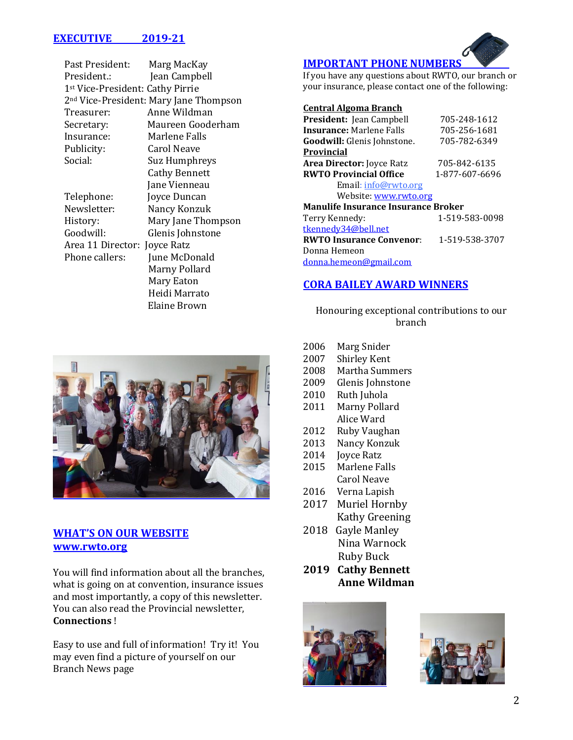# **EXECUTIVE 2019-21**

| Past President:                                    | Marg MacKay          |  |
|----------------------------------------------------|----------------------|--|
| President.:                                        | Jean Campbell        |  |
| 1 <sup>st</sup> Vice-President: Cathy Pirrie       |                      |  |
| 2 <sup>nd</sup> Vice-President: Mary Jane Thompson |                      |  |
| Treasurer:                                         | Anne Wildman         |  |
| Secretary:                                         | Maureen Gooderham    |  |
| Insurance:                                         | Marlene Falls        |  |
| Publicity:                                         | Carol Neave          |  |
| Social:                                            | Suz Humphreys        |  |
|                                                    | <b>Cathy Bennett</b> |  |
|                                                    | Jane Vienneau        |  |
| Telephone:                                         | Joyce Duncan         |  |
| Newsletter:                                        | Nancy Konzuk         |  |
| History:                                           | Mary Jane Thompson   |  |
| Goodwill:                                          | Glenis Johnstone     |  |
| Area 11 Director:                                  | Joyce Ratz           |  |
| Phone callers:                                     | June McDonald        |  |
|                                                    | Marny Pollard        |  |
|                                                    | Mary Eaton           |  |
|                                                    | Heidi Marrato        |  |
|                                                    | Elaine Brown         |  |



### **WHAT'S ON OUR WEBSITE www.rwto.org**

You will find information about all the branches, what is going on at convention, insurance issues and most importantly, a copy of this newsletter. You can also read the Provincial newsletter, **Connections** !

Easy to use and full of information! Try it! You may even find a picture of yourself on our Branch News page

# **IMPORTANT PHONE NUMBERS**

If you have any questions about RWTO, our branch or your insurance, please contact one of the following:

#### **Central Algoma Branch**

| <b>President:</b> Jean Campbell            | 705-248-1612   |  |
|--------------------------------------------|----------------|--|
| <b>Insurance: Marlene Falls</b>            | 705-256-1681   |  |
| Goodwill: Glenis Johnstone.                | 705-782-6349   |  |
| Provincial                                 |                |  |
| Area Director: Joyce Ratz                  | 705-842-6135   |  |
| <b>RWTO Provincial Office</b>              | 1-877-607-6696 |  |
| Email: info@rwto.org                       |                |  |
| Website: www.rwto.org                      |                |  |
| <b>Manulife Insurance Insurance Broker</b> |                |  |
| Terry Kennedy:                             | 1-519-583-0098 |  |
| tkennedy34@bell.net                        |                |  |
| <b>RWTO Insurance Convenor:</b>            | 1-519-538-3707 |  |
| Donna Hemeon                               |                |  |
| donna.hemeon@gmail.com                     |                |  |
|                                            |                |  |

## **CORA BAILEY AWARD WINNERS**

Honouring exceptional contributions to our branch

- 2006 Marg Snider
- 2007 Shirley Kent
- 2008 Martha Summers
- 2009 Glenis Johnstone
- 2010 Ruth Juhola
- 2011 Marny Pollard Alice Ward
- 2012 Ruby Vaughan
- 2013 Nancy Konzuk
- 2014 Joyce Ratz
- 2015 Marlene Falls Carol Neave
- 2016 Verna Lapish
- 2017 Muriel Hornby Kathy Greening
- 2018 Gayle Manley Nina Warnock Ruby Buck
- **2019 Cathy Bennett Anne Wildman**



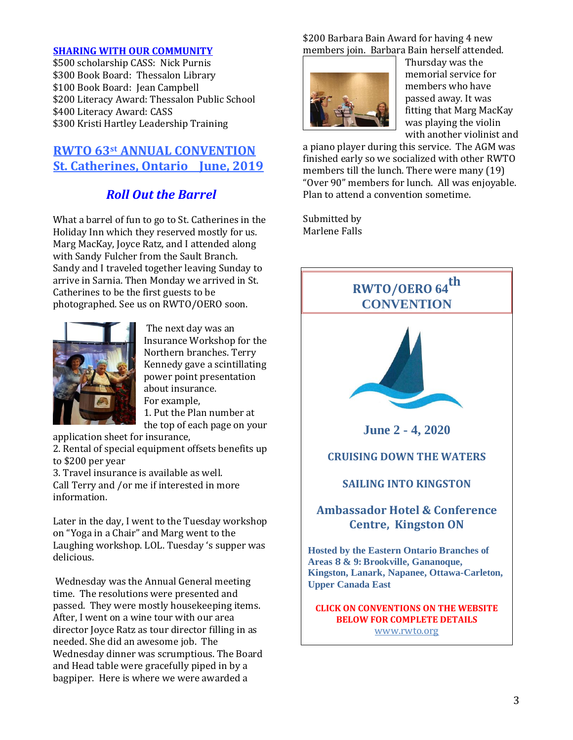#### **SHARING WITH OUR COMMUNITY**

\$500 scholarship CASS: Nick Purnis \$300 Book Board: Thessalon Library \$100 Book Board: Jean Campbell \$200 Literacy Award: Thessalon Public School \$400 Literacy Award: CASS \$300 Kristi Hartley Leadership Training

# **RWTO 63st ANNUAL CONVENTION St. Catherines, Ontario June, 2019**

# *Roll Out the Barrel*

What a barrel of fun to go to St. Catherines in the Holiday Inn which they reserved mostly for us. Marg MacKay, Joyce Ratz, and I attended along with Sandy Fulcher from the Sault Branch. Sandy and I traveled together leaving Sunday to arrive in Sarnia. Then Monday we arrived in St. Catherines to be the first guests to be photographed. See us on RWTO/OERO soon.



The next day was an Insurance Workshop for the Northern branches. Terry Kennedy gave a scintillating power point presentation about insurance. For example, 1. Put the Plan number at

the top of each page on your application sheet for insurance,

2. Rental of special equipment offsets benefits up to \$200 per year

3. Travel insurance is available as well. Call Terry and /or me if interested in more information.

Later in the day, I went to the Tuesday workshop on "Yoga in a Chair" and Marg went to the Laughing workshop. LOL. Tuesday 's supper was delicious.

Wednesday was the Annual General meeting time. The resolutions were presented and passed. They were mostly housekeeping items. After, I went on a wine tour with our area director Joyce Ratz as tour director filling in as needed. She did an awesome job. The Wednesday dinner was scrumptious. The Board and Head table were gracefully piped in by a bagpiper. Here is where we were awarded a

\$200 Barbara Bain Award for having 4 new members join. Barbara Bain herself attended.



Thursday was the memorial service for members who have passed away. It was fitting that Marg MacKay was playing the violin with another violinist and

a piano player during this service. The AGM was finished early so we socialized with other RWTO members till the lunch. There were many (19) "Over 90" members for lunch. All was enjoyable. Plan to attend a convention sometime.

Submitted by Marlene Falls

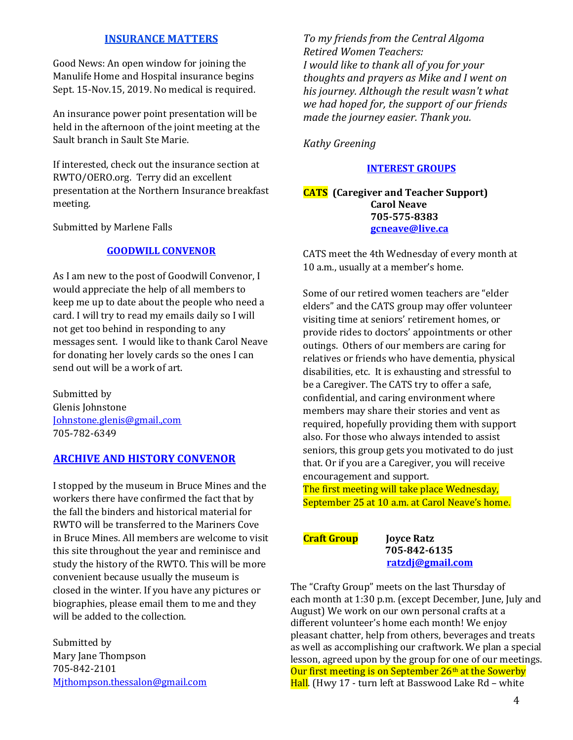### **INSURANCE MATTERS**

Good News: An open window for joining the Manulife Home and Hospital insurance begins Sept. 15-Nov.15, 2019. No medical is required.

An insurance power point presentation will be held in the afternoon of the joint meeting at the Sault branch in Sault Ste Marie.

If interested, check out the insurance section at RWTO/OERO.org. Terry did an excellent presentation at the Northern Insurance breakfast meeting.

Submitted by Marlene Falls

#### **GOODWILL CONVENOR**

As I am new to the post of Goodwill Convenor, I would appreciate the help of all members to keep me up to date about the people who need a card. I will try to read my emails daily so I will not get too behind in responding to any messages sent. I would like to thank Carol Neave for donating her lovely cards so the ones I can send out will be a work of art.

Submitted by Glenis Johnstone [Johnstone.glenis@gmail.,com](mailto:Johnstone.glenis@gmail.,com) 705-782-6349

#### **ARCHIVE AND HISTORY CONVENOR**

I stopped by the museum in Bruce Mines and the workers there have confirmed the fact that by the fall the binders and historical material for RWTO will be transferred to the Mariners Cove in Bruce Mines. All members are welcome to visit this site throughout the year and reminisce and study the history of the RWTO. This will be more convenient because usually the museum is closed in the winter. If you have any pictures or biographies, please email them to me and they will be added to the collection.

Submitted by Mary Jane Thompson 705-842-2101 [Mjthompson.thessalon@gmail.com](mailto:Mjthompson.thessalon@gmail.com) *To my friends from the Central Algoma Retired Women Teachers: I would like to thank all of you for your thoughts and prayers as Mike and I went on his journey. Although the result wasn't what we had hoped for, the support of our friends made the journey easier. Thank you.*

*Kathy Greening*

#### **INTEREST GROUPS**

#### **CATS (Caregiver and Teacher Support) Carol Neave 705-575-8383 [gcneave@live.ca](mailto:gcneave@live.ca)**

CATS meet the 4th Wednesday of every month at 10 a.m., usually at a member's home.

Some of our retired women teachers are "elder elders" and the CATS group may offer volunteer visiting time at seniors' retirement homes, or provide rides to doctors' appointments or other outings. Others of our members are caring for relatives or friends who have dementia, physical disabilities, etc. It is exhausting and stressful to be a Caregiver. The CATS try to offer a safe, confidential, and caring environment where members may share their stories and vent as required, hopefully providing them with support also. For those who always intended to assist seniors, this group gets you motivated to do just that. Or if you are a Caregiver, you will receive encouragement and support.

The first meeting will take place Wednesday, September 25 at 10 a.m. at Carol Neave's home.

**Craft Group Joyce Ratz** 

 **705-842-6135 [ratzdj@gmail.com](mailto:ratzdj@gmail.com)**

The "Crafty Group" meets on the last Thursday of each month at 1:30 p.m. (except December, June, July and August) We work on our own personal crafts at a different volunteer's home each month! We enjoy pleasant chatter, help from others, beverages and treats as well as accomplishing our craftwork. We plan a special lesson, agreed upon by the group for one of our meetings. Our first meeting is on September  $26<sup>th</sup>$  at the Sowerby Hall. (Hwy 17 - turn left at Basswood Lake Rd - white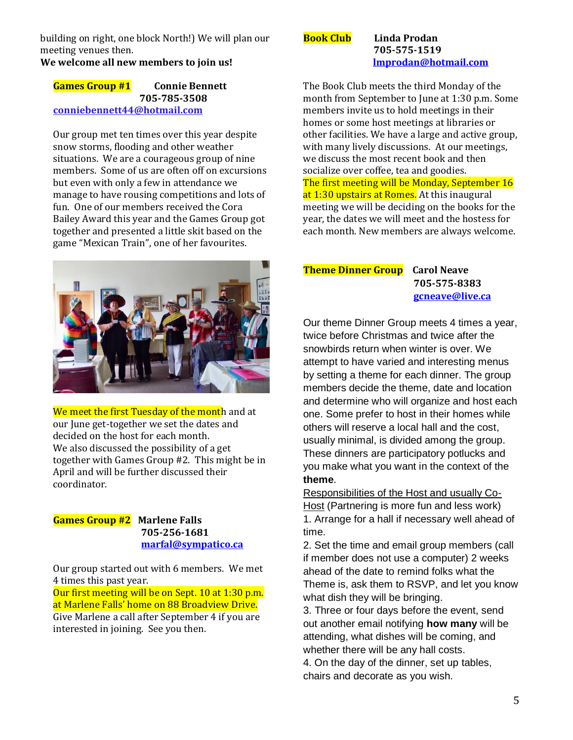building on right, one block North!) We will plan our meeting venues then.

**We welcome all new members to join us!**

#### **Games Group #1 Connie Bennett 705-785-3508 [conniebennett44@hotmail.com](mailto:conniebennett44@hotmail.com)**

Our group met ten times over this year despite snow storms, flooding and other weather situations. We are a courageous group of nine members. Some of us are often off on excursions but even with only a few in attendance we manage to have rousing competitions and lots of fun. One of our members received the Cora Bailey Award this year and the Games Group got together and presented a little skit based on the game "Mexican Train", one of her favourites.



We meet the first Tuesday of the month and at our June get-together we set the dates and decided on the host for each month. We also discussed the possibility of a get together with Games Group #2. This might be in April and will be further discussed their coordinator.

#### **Games Group #2 Marlene Falls 705-256-1681 [marfal@sympatico.ca](mailto:marfal@sympatico.ca)**

Our group started out with 6 members. We met 4 times this past year.

Our first meeting will be on Sept. 10 at 1:30 p.m. at Marlene Falls' home on 88 Broadview Drive. Give Marlene a call after September 4 if you are

interested in joining. See you then.

**Book Club Linda Prodan 705-575-1519 [lmprodan@hotmail.com](mailto:lmprodan@hotmail.com)**

The Book Club meets the third Monday of the month from September to June at 1:30 p.m. Some members invite us to hold meetings in their homes or some host meetings at libraries or other facilities. We have a large and active group, with many lively discussions. At our meetings, we discuss the most recent book and then socialize over coffee, tea and goodies. The first meeting will be Monday, September 16 at 1:30 upstairs at Romes. At this inaugural meeting we will be deciding on the books for the year, the dates we will meet and the hostess for each month. New members are always welcome.

### **Theme Dinner Group Carol Neave 705-575-8383 [gcneave@live.ca](mailto:gcneave@live.ca)**

Our theme Dinner Group meets 4 times a year, twice before Christmas and twice after the snowbirds return when winter is over. We attempt to have varied and interesting menus by setting a theme for each dinner. The group members decide the theme, date and location and determine who will organize and host each one. Some prefer to host in their homes while others will reserve a local hall and the cost, usually minimal, is divided among the group. These dinners are participatory potlucks and you make what you want in the context of the **theme**.

Responsibilities of the Host and usually Co-Host (Partnering is more fun and less work) 1. Arrange for a hall if necessary well ahead of time.

2. Set the time and email group members (call if member does not use a computer) 2 weeks ahead of the date to remind folks what the Theme is, ask them to RSVP, and let you know what dish they will be bringing.

3. Three or four days before the event, send out another email notifying **how many** will be attending, what dishes will be coming, and whether there will be any hall costs.

4. On the day of the dinner, set up tables, chairs and decorate as you wish.